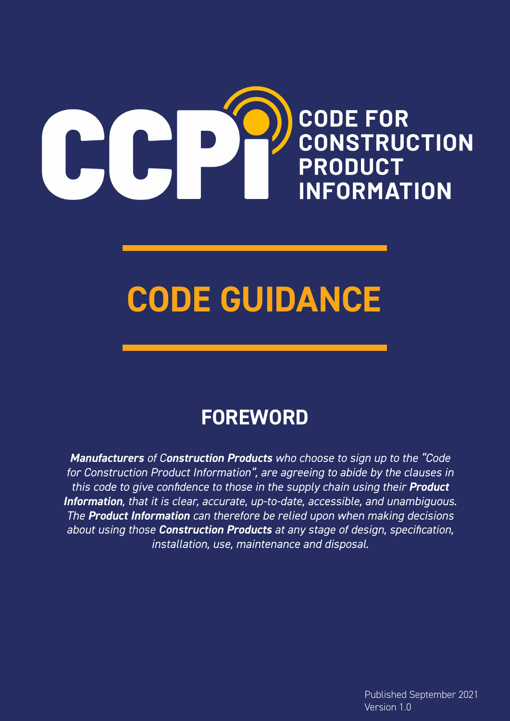

# **CODE GUIDANCE**

# **FOREWORD**

*Manufacturers of Construction Products who choose to sign up to the "Code for Construction Product Information", are agreeing to abide by the clauses in this code to give confidence to those in the supply chain using their Product Information, that it is clear, accurate, up-to-date, accessible, and unambiguous. The Product Information can therefore be relied upon when making decisions about using those Construction Products at any stage of design, specification, installation, use, maintenance and disposal.*

> Published September 2021 Version 1.0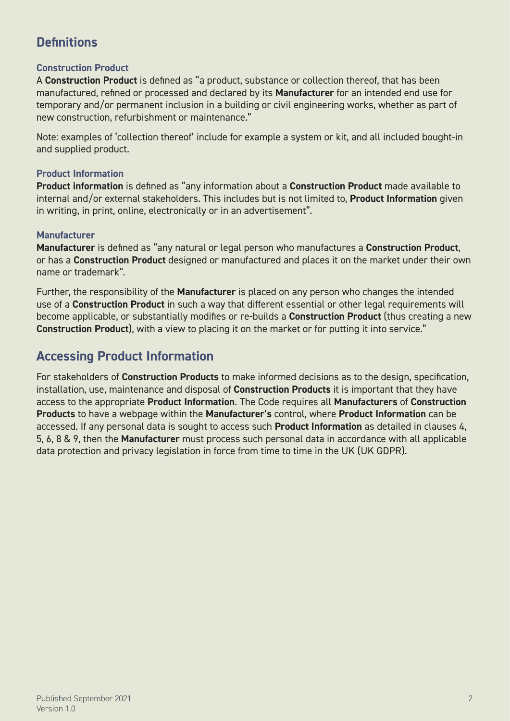### **Definitions**

### **Construction Product**

A **Construction Product** is defined as "a product, substance or collection thereof, that has been manufactured, refined or processed and declared by its **Manufacturer** for an intended end use for temporary and/or permanent inclusion in a building or civil engineering works, whether as part of new construction, refurbishment or maintenance."

Note: examples of 'collection thereof' include for example a system or kit, and all included bought-in and supplied product.

### **Product Information**

**Product information** is defined as "any information about a **Construction Product** made available to internal and/or external stakeholders. This includes but is not limited to, **Product Information** given in writing, in print, online, electronically or in an advertisement".

### **Manufacturer**

**Manufacturer** is defined as "any natural or legal person who manufactures a **Construction Product**, or has a **Construction Product** designed or manufactured and places it on the market under their own name or trademark".

Further, the responsibility of the **Manufacturer** is placed on any person who changes the intended use of a **Construction Product** in such a way that different essential or other legal requirements will become applicable, or substantially modifies or re-builds a **Construction Product** (thus creating a new **Construction Product**), with a view to placing it on the market or for putting it into service."

### **Accessing Product Information**

For stakeholders of **Construction Products** to make informed decisions as to the design, specification, installation, use, maintenance and disposal of **Construction Products** it is important that they have access to the appropriate **Product Information**. The Code requires all **Manufacturers** of **Construction Products** to have a webpage within the **Manufacturer's** control, where **Product Information** can be accessed. If any personal data is sought to access such **Product Information** as detailed in clauses 4, 5, 6, 8 & 9, then the **Manufacturer** must process such personal data in accordance with all applicable data protection and privacy legislation in force from time to time in the UK (UK GDPR).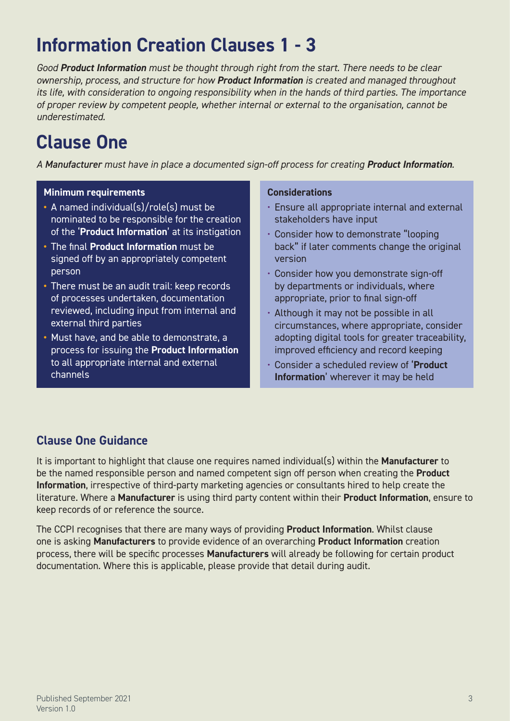# **Information Creation Clauses 1 - 3**

*Good Product Information must be thought through right from the start. There needs to be clear ownership, process, and structure for how Product Information is created and managed throughout its life, with consideration to ongoing responsibility when in the hands of third parties. The importance of proper review by competent people, whether internal or external to the organisation, cannot be underestimated.*

### **Clause One**

*A Manufacturer must have in place a documented sign-off process for creating Product Information.*

### **Minimum requirements**

- **•** A named individual(s)/role(s) must be nominated to be responsible for the creation of the '**Product Information**' at its instigation
- **•** The final **Product Information** must be signed off by an appropriately competent person
- **•** There must be an audit trail: keep records of processes undertaken, documentation reviewed, including input from internal and external third parties
- **•** Must have, and be able to demonstrate, a process for issuing the **Product Information** to all appropriate internal and external channels

### **Considerations**

- Ensure all appropriate internal and external stakeholders have input
- Consider how to demonstrate "looping back" if later comments change the original version
- Consider how you demonstrate sign-off by departments or individuals, where appropriate, prior to final sign-off
- Although it may not be possible in all circumstances, where appropriate, consider adopting digital tools for greater traceability, improved efficiency and record keeping
- Consider a scheduled review of '**Product Information**' wherever it may be held

### **Clause One Guidance**

It is important to highlight that clause one requires named individual(s) within the **Manufacturer** to be the named responsible person and named competent sign off person when creating the **Product Information**, irrespective of third-party marketing agencies or consultants hired to help create the literature. Where a **Manufacturer** is using third party content within their **Product Information**, ensure to keep records of or reference the source.

The CCPI recognises that there are many ways of providing **Product Information**. Whilst clause one is asking **Manufacturers** to provide evidence of an overarching **Product Information** creation process, there will be specific processes **Manufacturers** will already be following for certain product documentation. Where this is applicable, please provide that detail during audit.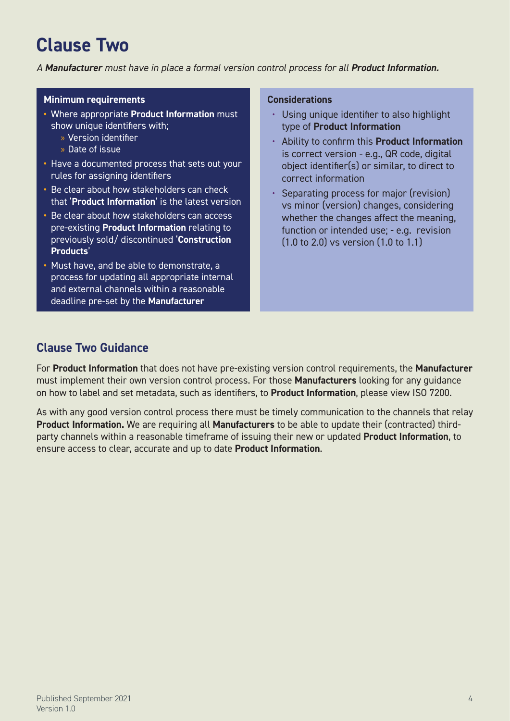# **Clause Two**

*A Manufacturer must have in place a formal version control process for all Product Information.*

#### **Minimum requirements**

- **•** Where appropriate **Product Information** must show unique identifiers with;
	- » Version identifier
	- » Date of issue
- **•** Have a documented process that sets out your rules for assigning identifiers
- **•** Be clear about how stakeholders can check that '**Product Information**' is the latest version
- **•** Be clear about how stakeholders can access pre-existing **Product Information** relating to previously sold/ discontinued '**Construction Products**'
- **•** Must have, and be able to demonstrate, a process for updating all appropriate internal and external channels within a reasonable deadline pre-set by the **Manufacturer**

#### **Considerations**

- Using unique identifier to also highlight type of **Product Information**
- Ability to confirm this **Product Information** is correct version - e.g., QR code, digital object identifier(s) or similar, to direct to correct information
- Separating process for major (revision) vs minor (version) changes, considering whether the changes affect the meaning, function or intended use; - e.g. revision (1.0 to 2.0) vs version (1.0 to 1.1)

### **Clause Two Guidance**

For **Product Information** that does not have pre-existing version control requirements, the **Manufacturer**  must implement their own version control process. For those **Manufacturers** looking for any guidance on how to label and set metadata, such as identifiers, to **Product Information**, please view ISO 7200.

As with any good version control process there must be timely communication to the channels that relay **Product Information.** We are requiring all **Manufacturers** to be able to update their (contracted) thirdparty channels within a reasonable timeframe of issuing their new or updated **Product Information**, to ensure access to clear, accurate and up to date **Product Information**.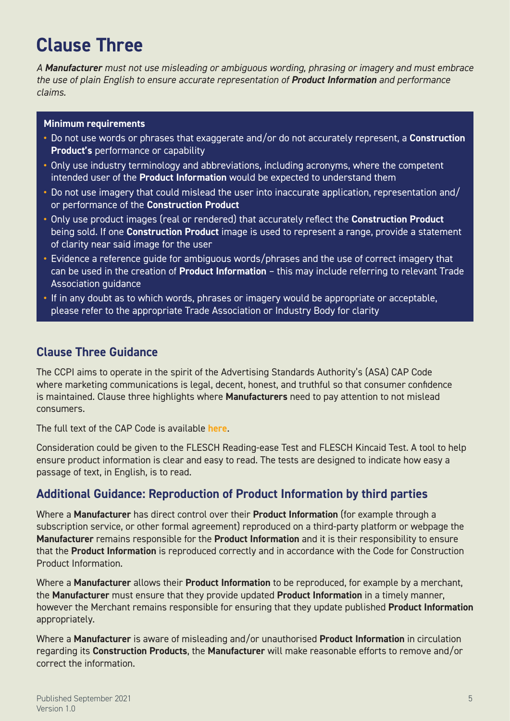# **Clause Three**

*A Manufacturer must not use misleading or ambiguous wording, phrasing or imagery and must embrace the use of plain English to ensure accurate representation of Product Information and performance claims.*

### **Minimum requirements**

- **•** Do not use words or phrases that exaggerate and/or do not accurately represent, a **Construction Product's** performance or capability
- **•** Only use industry terminology and abbreviations, including acronyms, where the competent intended user of the **Product Information** would be expected to understand them
- **•** Do not use imagery that could mislead the user into inaccurate application, representation and/ or performance of the **Construction Product**
- **•** Only use product images (real or rendered) that accurately reflect the **Construction Product** being sold. If one **Construction Product** image is used to represent a range, provide a statement of clarity near said image for the user
- **•** Evidence a reference guide for ambiguous words/phrases and the use of correct imagery that can be used in the creation of **Product Information** – this may include referring to relevant Trade Association guidance
- **•** If in any doubt as to which words, phrases or imagery would be appropriate or acceptable, please refer to the appropriate Trade Association or Industry Body for clarity

### **Clause Three Guidance**

The CCPI aims to operate in the spirit of the Advertising Standards Authority's (ASA) CAP Code where marketing communications is legal, decent, honest, and truthful so that consumer confidence is maintained. Clause three highlights where **Manufacturers** need to pay attention to not mislead consumers.

The full text of the CAP Code is available **[here](https://www.asa.org.uk/codes-and-rulings/advertising-codes/non-broadcast-code.html)**.

Consideration could be given to the FLESCH Reading-ease Test and FLESCH Kincaid Test. A tool to help ensure product information is clear and easy to read. The tests are designed to indicate how easy a passage of text, in English, is to read.

### **Additional Guidance: Reproduction of Product Information by third parties**

Where a **Manufacturer** has direct control over their **Product Information** (for example through a subscription service, or other formal agreement) reproduced on a third-party platform or webpage the **Manufacturer** remains responsible for the **Product Information** and it is their responsibility to ensure that the **Product Information** is reproduced correctly and in accordance with the Code for Construction Product Information.

Where a **Manufacturer** allows their **Product Information** to be reproduced, for example by a merchant, the **Manufacturer** must ensure that they provide updated **Product Information** in a timely manner, however the Merchant remains responsible for ensuring that they update published **Product Information** appropriately.

Where a **Manufacturer** is aware of misleading and/or unauthorised **Product Information** in circulation regarding its **Construction Products**, the **Manufacturer** will make reasonable efforts to remove and/or correct the information.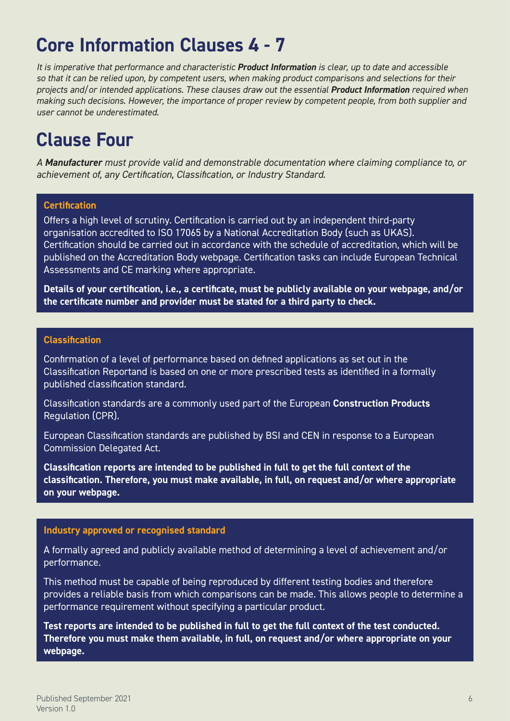# **Core Information Clauses 4 - 7**

*It is imperative that performance and characteristic Product Information is clear, up to date and accessible so that it can be relied upon, by competent users, when making product comparisons and selections for their projects and/or intended applications. These clauses draw out the essential Product Information required when making such decisions. However, the importance of proper review by competent people, from both supplier and user cannot be underestimated.*

# **Clause Four**

*A Manufacturer must provide valid and demonstrable documentation where claiming compliance to, or achievement of, any Certification, Classification, or Industry Standard.*

### **Certification**

Offers a high level of scrutiny. Certification is carried out by an independent third-party organisation accredited to ISO 17065 by a National Accreditation Body (such as UKAS). Certification should be carried out in accordance with the schedule of accreditation, which will be published on the Accreditation Body webpage. Certification tasks can include European Technical Assessments and CE marking where appropriate.

**Details of your certification, i.e., a certificate, must be publicly available on your webpage, and/or the certificate number and provider must be stated for a third party to check.**

### **Classification**

Confirmation of a level of performance based on defined applications as set out in the Classification Reportand is based on one or more prescribed tests as identified in a formally published classification standard.

Classification standards are a commonly used part of the European **Construction Products** Regulation (CPR).

European Classification standards are published by BSI and CEN in response to a European Commission Delegated Act.

**Classification reports are intended to be published in full to get the full context of the classification. Therefore, you must make available, in full, on request and/or where appropriate on your webpage.**

### **Industry approved or recognised standard**

A formally agreed and publicly available method of determining a level of achievement and/or performance.

This method must be capable of being reproduced by different testing bodies and therefore provides a reliable basis from which comparisons can be made. This allows people to determine a performance requirement without specifying a particular product.

**Test reports are intended to be published in full to get the full context of the test conducted. Therefore you must make them available, in full, on request and/or where appropriate on your webpage.**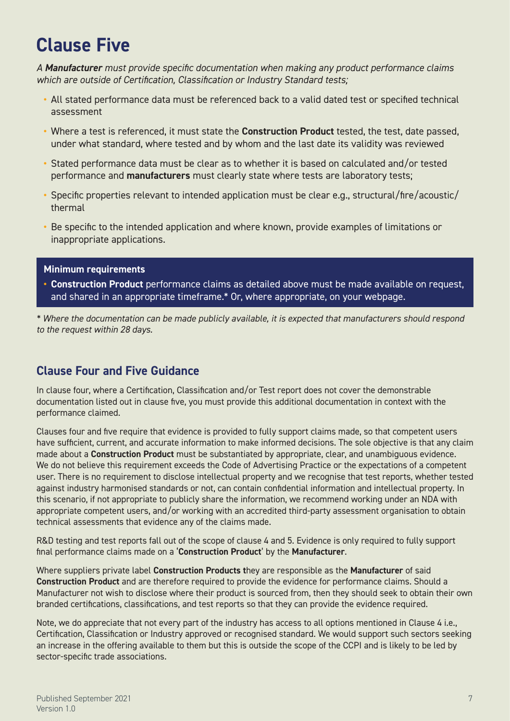# **Clause Five**

*A Manufacturer must provide specific documentation when making any product performance claims which are outside of Certification, Classification or Industry Standard tests;*

- **•** All stated performance data must be referenced back to a valid dated test or specified technical assessment
- **•** Where a test is referenced, it must state the **Construction Product** tested, the test, date passed, under what standard, where tested and by whom and the last date its validity was reviewed
- **•** Stated performance data must be clear as to whether it is based on calculated and/or tested performance and **manufacturers** must clearly state where tests are laboratory tests;
- **•** Specific properties relevant to intended application must be clear e.g., structural/fire/acoustic/ thermal
- **•** Be specific to the intended application and where known, provide examples of limitations or inappropriate applications.

### **Minimum requirements**

**• Construction Product** performance claims as detailed above must be made available on request, and shared in an appropriate timeframe.\* Or, where appropriate, on your webpage.

*\* Where the documentation can be made publicly available, it is expected that manufacturers should respond to the request within 28 days.* 

### **Clause Four and Five Guidance**

In clause four, where a Certification, Classification and/or Test report does not cover the demonstrable documentation listed out in clause five, you must provide this additional documentation in context with the performance claimed.

Clauses four and five require that evidence is provided to fully support claims made, so that competent users have sufficient, current, and accurate information to make informed decisions. The sole objective is that any claim made about a **Construction Product** must be substantiated by appropriate, clear, and unambiguous evidence. We do not believe this requirement exceeds the Code of Advertising Practice or the expectations of a competent user. There is no requirement to disclose intellectual property and we recognise that test reports, whether tested against industry harmonised standards or not, can contain confidential information and intellectual property. In this scenario, if not appropriate to publicly share the information, we recommend working under an NDA with appropriate competent users, and/or working with an accredited third-party assessment organisation to obtain technical assessments that evidence any of the claims made.

R&D testing and test reports fall out of the scope of clause 4 and 5. Evidence is only required to fully support final performance claims made on a '**Construction Product**' by the **Manufacturer**.

Where suppliers private label **Construction Products t**hey are responsible as the **Manufacturer** of said **Construction Product** and are therefore required to provide the evidence for performance claims. Should a Manufacturer not wish to disclose where their product is sourced from, then they should seek to obtain their own branded certifications, classifications, and test reports so that they can provide the evidence required.

Note, we do appreciate that not every part of the industry has access to all options mentioned in Clause 4 i.e., Certification, Classification or Industry approved or recognised standard. We would support such sectors seeking an increase in the offering available to them but this is outside the scope of the CCPI and is likely to be led by sector-specific trade associations.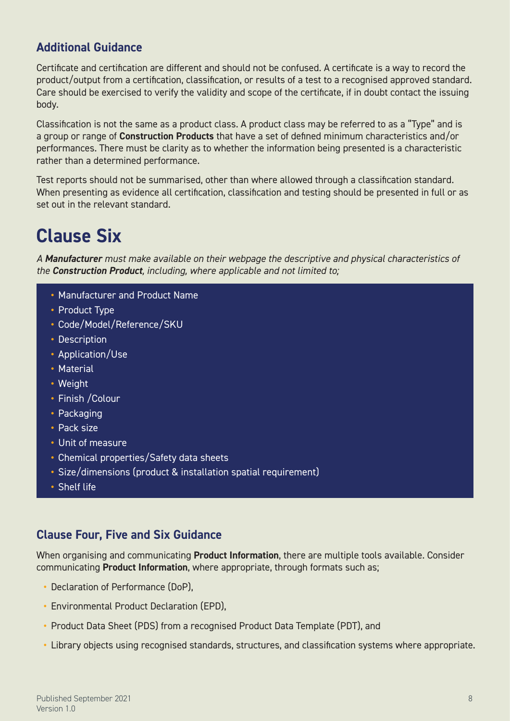### **Additional Guidance**

Certificate and certification are different and should not be confused. A certificate is a way to record the product/output from a certification, classification, or results of a test to a recognised approved standard. Care should be exercised to verify the validity and scope of the certificate, if in doubt contact the issuing body.

Classification is not the same as a product class. A product class may be referred to as a "Type" and is a group or range of **Construction Products** that have a set of defined minimum characteristics and/or performances. There must be clarity as to whether the information being presented is a characteristic rather than a determined performance.

Test reports should not be summarised, other than where allowed through a classification standard. When presenting as evidence all certification, classification and testing should be presented in full or as set out in the relevant standard.

### **Clause Six**

*A Manufacturer must make available on their webpage the descriptive and physical characteristics of the Construction Product, including, where applicable and not limited to;*

- **•** Manufacturer and Product Name
- **•** Product Type
- **•** Code/Model/Reference/SKU
- **•** Description
- **•** Application/Use
- **•** Material
- **•** Weight
- **•** Finish /Colour
- **•** Packaging
- **•** Pack size
- **•** Unit of measure
- **•** Chemical properties/Safety data sheets
- **•** Size/dimensions (product & installation spatial requirement)
- **•** Shelf life

### **Clause Four, Five and Six Guidance**

When organising and communicating **Product Information**, there are multiple tools available. Consider communicating **Product Information**, where appropriate, through formats such as;

- **•** Declaration of Performance (DoP),
- **•** Environmental Product Declaration (EPD),
- **•** Product Data Sheet (PDS) from a recognised Product Data Template (PDT), and
- **•** Library objects using recognised standards, structures, and classification systems where appropriate.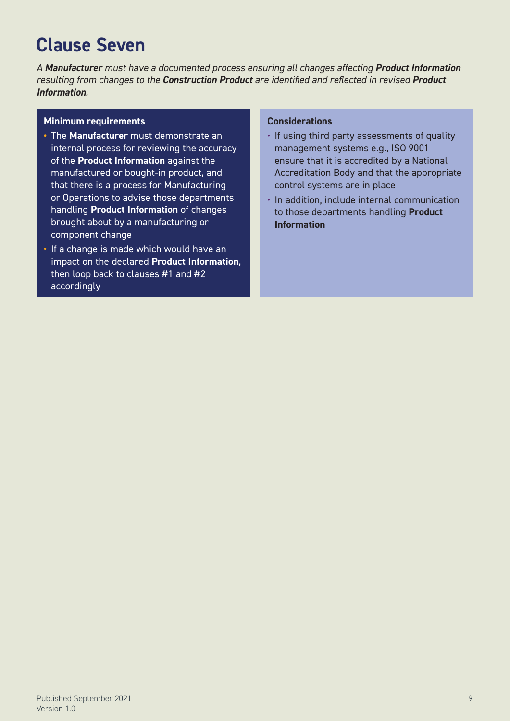# **Clause Seven**

*A Manufacturer must have a documented process ensuring all changes affecting Product Information resulting from changes to the Construction Product are identified and reflected in revised Product Information.*

### **Minimum requirements**

- **•** The **Manufacturer** must demonstrate an internal process for reviewing the accuracy of the **Product Information** against the manufactured or bought-in product, and that there is a process for Manufacturing or Operations to advise those departments handling **Product Information** of changes brought about by a manufacturing or component change
- **•** If a change is made which would have an impact on the declared **Product Information**, then loop back to clauses #1 and #2 accordingly

### **Considerations**

- If using third party assessments of quality management systems e.g., ISO 9001 ensure that it is accredited by a National Accreditation Body and that the appropriate control systems are in place
- In addition, include internal communication to those departments handling **Product Information**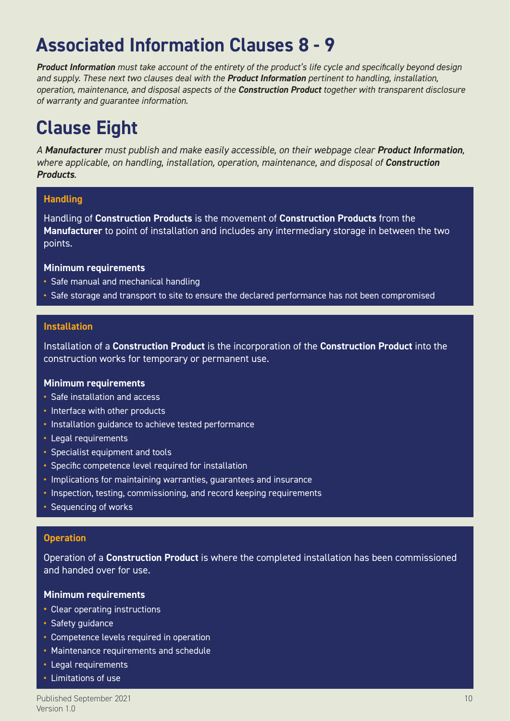# **Associated Information Clauses 8 - 9**

*Product Information must take account of the entirety of the product's life cycle and specifically beyond design and supply. These next two clauses deal with the Product Information pertinent to handling, installation, operation, maintenance, and disposal aspects of the Construction Product together with transparent disclosure of warranty and guarantee information.*

# **Clause Eight**

*A Manufacturer must publish and make easily accessible, on their webpage clear Product Information, where applicable, on handling, installation, operation, maintenance, and disposal of Construction Products.*

### **Handling**

Handling of **Construction Products** is the movement of **Construction Products** from the **Manufacturer** to point of installation and includes any intermediary storage in between the two points.

#### **Minimum requirements**

- **•** Safe manual and mechanical handling
- **•** Safe storage and transport to site to ensure the declared performance has not been compromised

#### **Installation**

Installation of a **Construction Product** is the incorporation of the **Construction Product** into the construction works for temporary or permanent use.

#### **Minimum requirements**

- **•** Safe installation and access
- **•** Interface with other products
- **•** Installation guidance to achieve tested performance
- **•** Legal requirements
- **•** Specialist equipment and tools
- **•** Specific competence level required for installation
- **•** Implications for maintaining warranties, guarantees and insurance
- **•** Inspection, testing, commissioning, and record keeping requirements
- **•** Sequencing of works

#### **Operation**

Operation of a **Construction Product** is where the completed installation has been commissioned and handed over for use.

### **Minimum requirements**

- **•** Clear operating instructions
- **•** Safety guidance
- **•** Competence levels required in operation
- **•** Maintenance requirements and schedule
- **•** Legal requirements
- **•** Limitations of use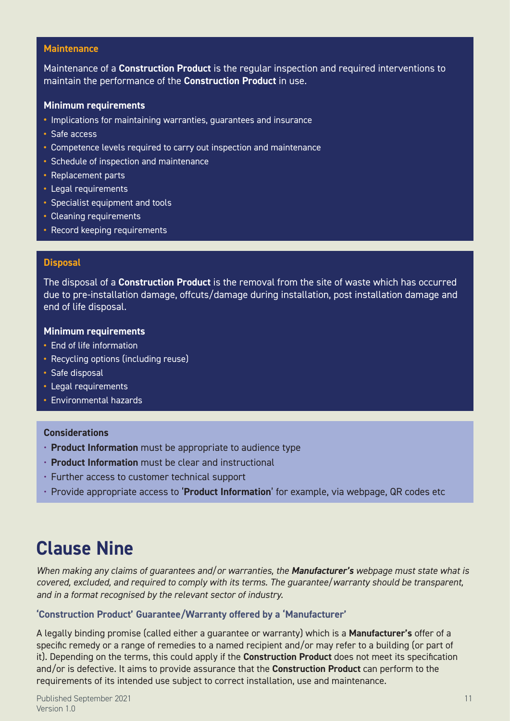#### **Maintenance**

Maintenance of a **Construction Product** is the regular inspection and required interventions to maintain the performance of the **Construction Product** in use.

#### **Minimum requirements**

- **•** Implications for maintaining warranties, guarantees and insurance
- **•** Safe access
- **•** Competence levels required to carry out inspection and maintenance
- **•** Schedule of inspection and maintenance
- **•** Replacement parts
- **•** Legal requirements
- **•** Specialist equipment and tools
- **•** Cleaning requirements
- **•** Record keeping requirements

#### **Disposal**

The disposal of a **Construction Product** is the removal from the site of waste which has occurred due to pre-installation damage, offcuts/damage during installation, post installation damage and end of life disposal.

#### **Minimum requirements**

- **•** End of life information
- **•** Recycling options (including reuse)
- **•** Safe disposal
- **•** Legal requirements
- **•** Environmental hazards

### **Considerations**

- **Product Information** must be appropriate to audience type
- **Product Information** must be clear and instructional
- Further access to customer technical support
- Provide appropriate access to '**Product Information**' for example, via webpage, QR codes etc

### **Clause Nine**

*When making any claims of guarantees and/or warranties, the Manufacturer's webpage must state what is covered, excluded, and required to comply with its terms. The guarantee/warranty should be transparent, and in a format recognised by the relevant sector of industry.*

#### **'Construction Product' Guarantee/Warranty offered by a 'Manufacturer'**

A legally binding promise (called either a guarantee or warranty) which is a **Manufacturer's** offer of a specific remedy or a range of remedies to a named recipient and/or may refer to a building (or part of it). Depending on the terms, this could apply if the **Construction Product** does not meet its specification and/or is defective. It aims to provide assurance that the **Construction Product** can perform to the requirements of its intended use subject to correct installation, use and maintenance.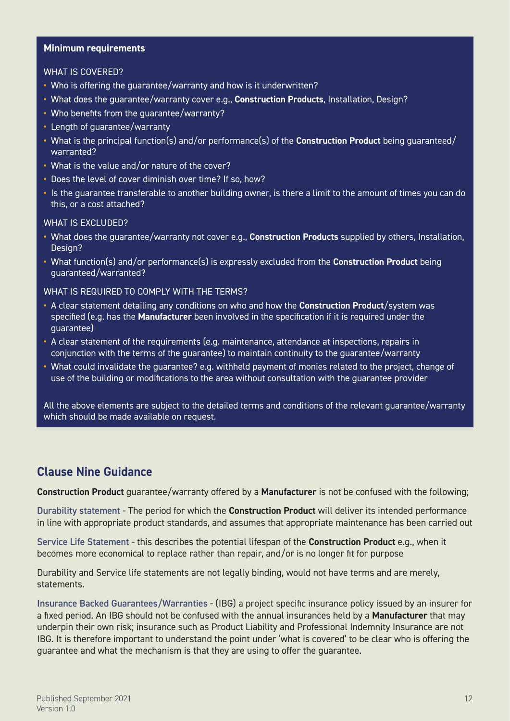#### **Minimum requirements**

#### WHAT IS COVERED?

- **•** Who is offering the guarantee/warranty and how is it underwritten?
- **•** What does the guarantee/warranty cover e.g., **Construction Products**, Installation, Design?
- **•** Who benefits from the guarantee/warranty?
- **•** Length of guarantee/warranty
- **•** What is the principal function(s) and/or performance(s) of the **Construction Product** being guaranteed/ warranted?
- **•** What is the value and/or nature of the cover?
- **•** Does the level of cover diminish over time? If so, how?
- **•** Is the guarantee transferable to another building owner, is there a limit to the amount of times you can do this, or a cost attached?

#### WHAT IS **EXCLUDED?**

- **•** What does the guarantee/warranty not cover e.g., **Construction Products** supplied by others, Installation, Design?
- **•** What function(s) and/or performance(s) is expressly excluded from the **Construction Product** being guaranteed/warranted?

#### WHAT IS REQUIRED TO COMPLY WITH THE TERMS?

- **•** A clear statement detailing any conditions on who and how the **Construction Product**/system was specified (e.g. has the **Manufacturer** been involved in the specification if it is required under the guarantee)
- **•** A clear statement of the requirements (e.g. maintenance, attendance at inspections, repairs in conjunction with the terms of the guarantee) to maintain continuity to the guarantee/warranty
- **•** What could invalidate the guarantee? e.g. withheld payment of monies related to the project, change of use of the building or modifications to the area without consultation with the guarantee provider

All the above elements are subject to the detailed terms and conditions of the relevant guarantee/warranty which should be made available on request.

### **Clause Nine Guidance**

**Construction Product** guarantee/warranty offered by a **Manufacturer** is not be confused with the following;

Durability statement - The period for which the **Construction Product** will deliver its intended performance in line with appropriate product standards, and assumes that appropriate maintenance has been carried out

Service Life Statement - this describes the potential lifespan of the **Construction Product** e.g., when it becomes more economical to replace rather than repair, and/or is no longer fit for purpose

Durability and Service life statements are not legally binding, would not have terms and are merely, statements.

Insurance Backed Guarantees/Warranties - (IBG) a project specific insurance policy issued by an insurer for a fixed period. An IBG should not be confused with the annual insurances held by a **Manufacturer** that may underpin their own risk; insurance such as Product Liability and Professional Indemnity Insurance are not IBG. It is therefore important to understand the point under 'what is covered' to be clear who is offering the guarantee and what the mechanism is that they are using to offer the guarantee.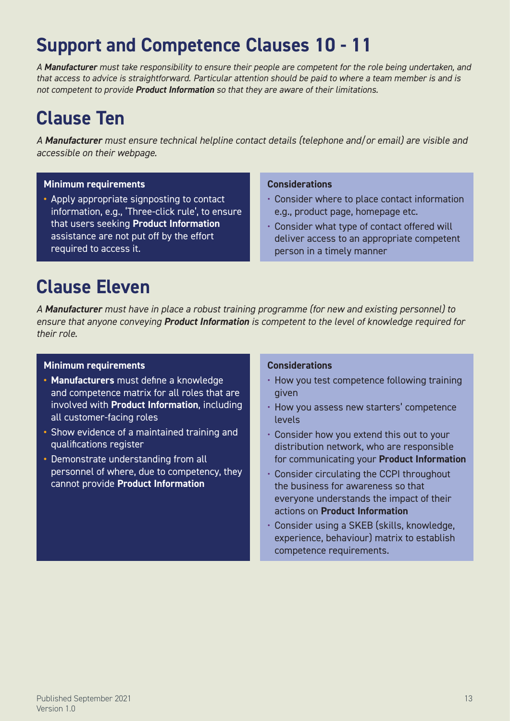# **Support and Competence Clauses 10 - 11**

*A Manufacturer must take responsibility to ensure their people are competent for the role being undertaken, and that access to advice is straightforward. Particular attention should be paid to where a team member is and is not competent to provide Product Information so that they are aware of their limitations.*

# **Clause Ten**

*A Manufacturer must ensure technical helpline contact details (telephone and/or email) are visible and accessible on their webpage.*

### **Minimum requirements**

**•** Apply appropriate signposting to contact information, e.g., 'Three-click rule', to ensure that users seeking **Product Information** assistance are not put off by the effort required to access it.

### **Considerations**

- Consider where to place contact information e.g., product page, homepage etc.
- Consider what type of contact offered will deliver access to an appropriate competent person in a timely manner

# **Clause Eleven**

*A Manufacturer must have in place a robust training programme (for new and existing personnel) to ensure that anyone conveying Product Information is competent to the level of knowledge required for their role.*

### **Minimum requirements**

- **• Manufacturers** must define a knowledge and competence matrix for all roles that are involved with **Product Information**, including all customer-facing roles
- **•** Show evidence of a maintained training and qualifications register
- **•** Demonstrate understanding from all personnel of where, due to competency, they cannot provide **Product Information**

### **Considerations**

- How you test competence following training given
- How you assess new starters' competence levels
- Consider how you extend this out to your distribution network, who are responsible for communicating your **Product Information**
- Consider circulating the CCPI throughout the business for awareness so that everyone understands the impact of their actions on **Product Information**
- Consider using a SKEB (skills, knowledge, experience, behaviour) matrix to establish competence requirements.